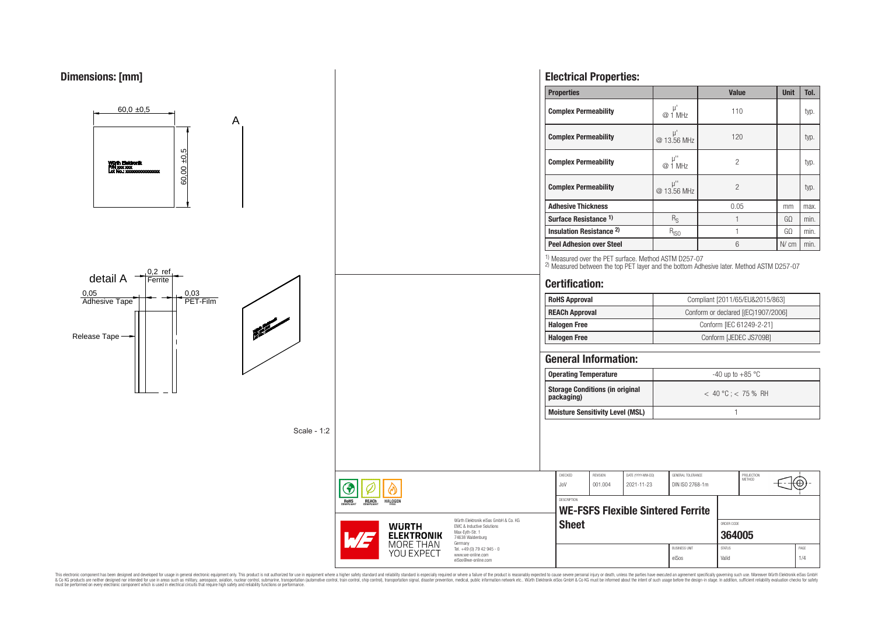

This electronic component has been designed and developed for usage in general electronic equipment only. This product is not authorized for use in equipment where a higher safely standard and reliability standard si espec & Ook product a label and the membed of the seasuch as marked and as which such a membed and the such assume that income in the seasuch and the simulation and the such assume that include to the such a membed and the such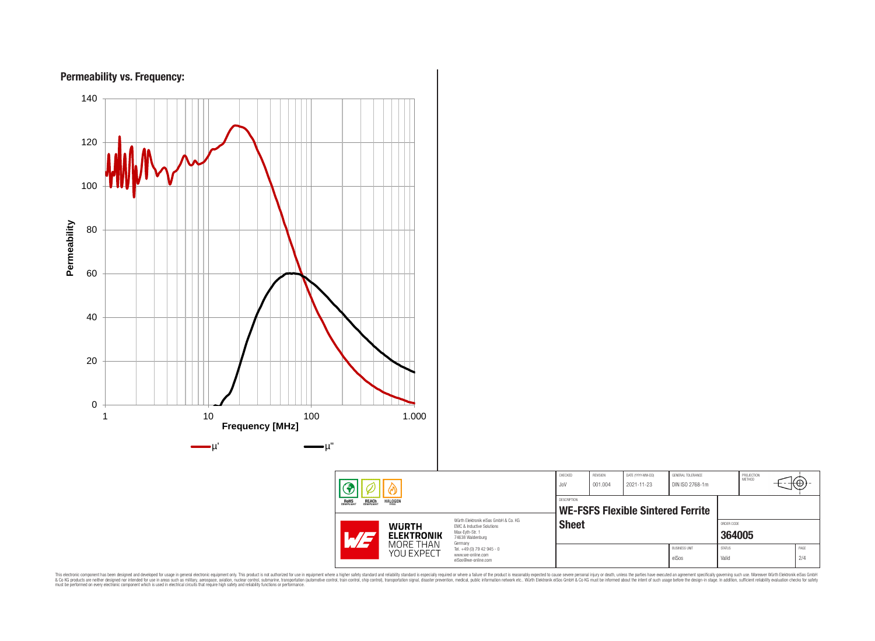

This electronic component has been designed and developed for usage in general electronic equipment only. This product is not authorized for subserved requipment where a higher selection equipment where a higher selection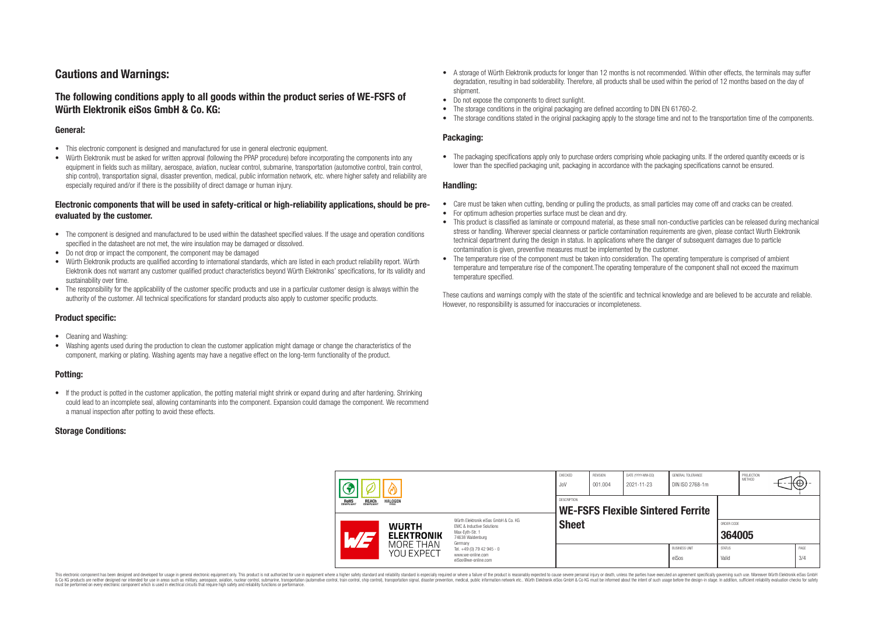# **Cautions and Warnings:**

# **The following conditions apply to all goods within the product series of WE-FSFS of Würth Elektronik eiSos GmbH & Co. KG:**

### **General:**

- This electronic component is designed and manufactured for use in general electronic equipment.
- Würth Elektronik must be asked for written approval (following the PPAP procedure) before incorporating the components into any equipment in fields such as military, aerospace, aviation, nuclear control, submarine, transportation (automotive control, train control, ship control), transportation signal, disaster prevention, medical, public information network, etc. where higher safety and reliability are especially required and/or if there is the possibility of direct damage or human injury.

## **Electronic components that will be used in safety-critical or high-reliability applications, should be preevaluated by the customer.**

- The component is designed and manufactured to be used within the datasheet specified values. If the usage and operation conditions specified in the datasheet are not met, the wire insulation may be damaged or dissolved.
- Do not drop or impact the component, the component may be damaged
- Würth Elektronik products are qualified according to international standards, which are listed in each product reliability report. Würth Elektronik does not warrant any customer qualified product characteristics beyond Würth Elektroniks' specifications, for its validity and sustainability over time.
- The responsibility for the applicability of the customer specific products and use in a particular customer design is always within the authority of the customer. All technical specifications for standard products also apply to customer specific products.

## **Product specific:**

- Cleaning and Washing:
- Washing agents used during the production to clean the customer application might damage or change the characteristics of the component, marking or plating. Washing agents may have a negative effect on the long-term functionality of the product.

### **Potting:**

• If the product is potted in the customer application, the potting material might shrink or expand during and after hardening. Shrinking could lead to an incomplete seal, allowing contaminants into the component. Expansion could damage the component. We recommend a manual inspection after potting to avoid these effects.

### **Storage Conditions:**

- A storage of Würth Elektronik products for longer than 12 months is not recommended. Within other effects, the terminals may suffer degradation, resulting in bad solderability. Therefore, all products shall be used within the period of 12 months based on the day of shipment.
- Do not expose the components to direct sunlight.
- The storage conditions in the original packaging are defined according to DIN EN 61760-2.
- The storage conditions stated in the original packaging apply to the storage time and not to the transportation time of the components.

# **Packaging:**

• The packaging specifications apply only to purchase orders comprising whole packaging units. If the ordered quantity exceeds or is lower than the specified packaging unit, packaging in accordance with the packaging specifications cannot be ensured.

#### **Handling:**

- Care must be taken when cutting, bending or pulling the products, as small particles may come off and cracks can be created.
- For optimum adhesion properties surface must be clean and dry.
- This product is classified as laminate or compound material, as these small non-conductive particles can be released during mechanical stress or handling. Wherever special cleanness or particle contamination requirements are given, please contact Wurth Elektronik technical department during the design in status. In applications where the danger of subsequent damages due to particle contamination is given, preventive measures must be implemented by the customer.
- The temperature rise of the component must be taken into consideration. The operating temperature is comprised of ambient temperature and temperature rise of the component.The operating temperature of the component shall not exceed the maximum temperature specified.

These cautions and warnings comply with the state of the scientific and technical knowledge and are believed to be accurate and reliable. However, no responsibility is assumed for inaccuracies or incompleteness.

|  | 偽<br>៳                                                |                                                              | CHECKED<br>JoV                                                                                                                                                                                           | REVISION<br>001.004                                            | DATE (YYYY-MM-DD)<br>2021-11-23 | GENERAL TOLERANCE<br>DIN ISO 2768-1m |                               | PROJECTION<br><b>METHOD</b>   |  | ťΨ |
|--|-------------------------------------------------------|--------------------------------------------------------------|----------------------------------------------------------------------------------------------------------------------------------------------------------------------------------------------------------|----------------------------------------------------------------|---------------------------------|--------------------------------------|-------------------------------|-------------------------------|--|----|
|  | <b>ROHS</b><br>COMPLIANT<br><b>REACH</b><br>COMPLIANT | <b>HALOGEN</b>                                               |                                                                                                                                                                                                          | <b>DESCRIPTION</b><br><b>WE-FSFS Flexible Sintered Ferrite</b> |                                 |                                      |                               |                               |  |    |
|  |                                                       | <b>WURTH</b><br><b>ELEKTRONIK</b><br>MORE THAN<br>YOU EXPECT | Würth Elektronik eiSos GmbH & Co. KG<br><b>EMC &amp; Inductive Solutions</b><br>Max-Eyth-Str. 1<br>74638 Waldenburg<br>Germany<br>Tel. +49 (0) 79 42 945 - 0<br>www.we-online.com<br>eiSos@we-online.com | <b>Sheet</b>                                                   |                                 |                                      |                               | ORDER CODE<br>364005          |  |    |
|  |                                                       |                                                              |                                                                                                                                                                                                          |                                                                |                                 |                                      | <b>BUSINESS UNIT</b><br>eiSos | <b>STATUS</b><br><b>Valid</b> |  |    |

This electronic component has been designed and developed for usage in general electronic equipment only. This product is not authorized for use in equipment where a higher safety standard and reliability standard si espec & Ook product a label and the membed of the seasuch as marked and as which such a membed and the such assume that income in the seasuch and the simulation and the such assume that include to the such a membed and the such